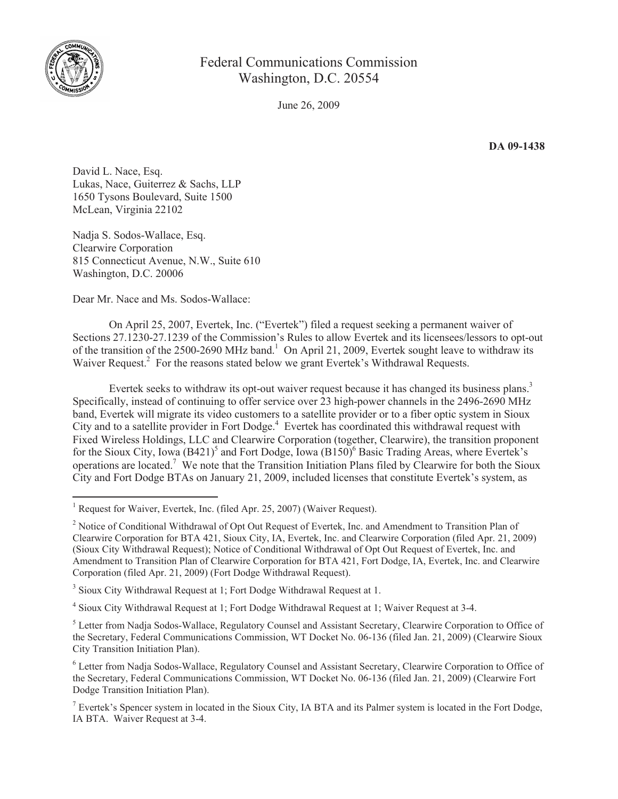

## Federal Communications Commission Washington, D.C. 20554

June 26, 2009

**DA 09-1438**

David L. Nace, Esq. Lukas, Nace, Guiterrez & Sachs, LLP 1650 Tysons Boulevard, Suite 1500 McLean, Virginia 22102

Nadja S. Sodos-Wallace, Esq. Clearwire Corporation 815 Connecticut Avenue, N.W., Suite 610 Washington, D.C. 20006

Dear Mr. Nace and Ms. Sodos-Wallace:

On April 25, 2007, Evertek, Inc. ("Evertek") filed a request seeking a permanent waiver of Sections 27.1230-27.1239 of the Commission's Rules to allow Evertek and its licensees/lessors to opt-out of the transition of the 2500-2690 MHz band.<sup>1</sup> On April 21, 2009, Evertek sought leave to withdraw its Waiver Request.<sup>2</sup> For the reasons stated below we grant Evertek's Withdrawal Requests.

Evertek seeks to withdraw its opt-out waiver request because it has changed its business plans.<sup>3</sup> Specifically, instead of continuing to offer service over 23 high-power channels in the 2496-2690 MHz band, Evertek will migrate its video customers to a satellite provider or to a fiber optic system in Sioux City and to a satellite provider in Fort Dodge.<sup>4</sup> Evertek has coordinated this withdrawal request with Fixed Wireless Holdings, LLC and Clearwire Corporation (together, Clearwire), the transition proponent for the Sioux City, Iowa (B421)<sup>5</sup> and Fort Dodge, Iowa (B150)<sup>6</sup> Basic Trading Areas, where Evertek's operations are located.<sup>7</sup> We note that the Transition Initiation Plans filed by Clearwire for both the Sioux City and Fort Dodge BTAs on January 21, 2009, included licenses that constitute Evertek's system, as

<sup>3</sup> Sioux City Withdrawal Request at 1; Fort Dodge Withdrawal Request at 1.

<sup>4</sup> Sioux City Withdrawal Request at 1; Fort Dodge Withdrawal Request at 1; Waiver Request at 3-4.

<sup>5</sup> Letter from Nadja Sodos-Wallace, Regulatory Counsel and Assistant Secretary, Clearwire Corporation to Office of the Secretary, Federal Communications Commission, WT Docket No. 06-136 (filed Jan. 21, 2009) (Clearwire Sioux City Transition Initiation Plan).

<sup>6</sup> Letter from Nadja Sodos-Wallace, Regulatory Counsel and Assistant Secretary, Clearwire Corporation to Office of the Secretary, Federal Communications Commission, WT Docket No. 06-136 (filed Jan. 21, 2009) (Clearwire Fort Dodge Transition Initiation Plan).

 $<sup>7</sup>$  Evertek's Spencer system in located in the Sioux City, IA BTA and its Palmer system is located in the Fort Dodge,</sup> IA BTA. Waiver Request at 3-4.

<sup>&</sup>lt;sup>1</sup> Request for Waiver, Evertek, Inc. (filed Apr. 25, 2007) (Waiver Request).

<sup>&</sup>lt;sup>2</sup> Notice of Conditional Withdrawal of Opt Out Request of Evertek, Inc. and Amendment to Transition Plan of Clearwire Corporation for BTA 421, Sioux City, IA, Evertek, Inc. and Clearwire Corporation (filed Apr. 21, 2009) (Sioux City Withdrawal Request); Notice of Conditional Withdrawal of Opt Out Request of Evertek, Inc. and Amendment to Transition Plan of Clearwire Corporation for BTA 421, Fort Dodge, IA, Evertek, Inc. and Clearwire Corporation (filed Apr. 21, 2009) (Fort Dodge Withdrawal Request).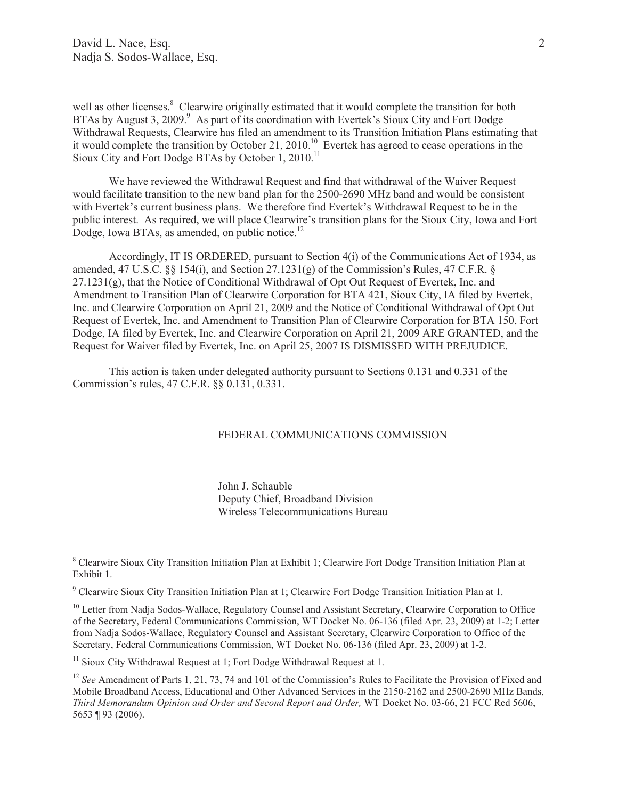well as other licenses.<sup>8</sup> Clearwire originally estimated that it would complete the transition for both BTAs by August 3, 2009. $9$  As part of its coordination with Evertek's Sioux City and Fort Dodge Withdrawal Requests, Clearwire has filed an amendment to its Transition Initiation Plans estimating that it would complete the transition by October 21, 2010.<sup>10</sup> Evertek has agreed to cease operations in the Sioux City and Fort Dodge BTAs by October 1,  $2010<sup>11</sup>$ 

We have reviewed the Withdrawal Request and find that withdrawal of the Waiver Request would facilitate transition to the new band plan for the 2500-2690 MHz band and would be consistent with Evertek's current business plans. We therefore find Evertek's Withdrawal Request to be in the public interest. As required, we will place Clearwire's transition plans for the Sioux City, Iowa and Fort Dodge, Iowa BTAs, as amended, on public notice. $^{12}$ 

Accordingly, IT IS ORDERED, pursuant to Section 4(i) of the Communications Act of 1934, as amended, 47 U.S.C.  $\S$ § 154(i), and Section 27.1231(g) of the Commission's Rules, 47 C.F.R.  $\S$ 27.1231(g), that the Notice of Conditional Withdrawal of Opt Out Request of Evertek, Inc. and Amendment to Transition Plan of Clearwire Corporation for BTA 421, Sioux City, IA filed by Evertek, Inc. and Clearwire Corporation on April 21, 2009 and the Notice of Conditional Withdrawal of Opt Out Request of Evertek, Inc. and Amendment to Transition Plan of Clearwire Corporation for BTA 150, Fort Dodge, IA filed by Evertek, Inc. and Clearwire Corporation on April 21, 2009 ARE GRANTED, and the Request for Waiver filed by Evertek, Inc. on April 25, 2007 IS DISMISSED WITH PREJUDICE.

This action is taken under delegated authority pursuant to Sections 0.131 and 0.331 of the Commission's rules, 47 C.F.R. §§ 0.131, 0.331.

## FEDERAL COMMUNICATIONS COMMISSION

John J. Schauble Deputy Chief, Broadband Division Wireless Telecommunications Bureau

<sup>10</sup> Letter from Nadja Sodos-Wallace, Regulatory Counsel and Assistant Secretary, Clearwire Corporation to Office of the Secretary, Federal Communications Commission, WT Docket No. 06-136 (filed Apr. 23, 2009) at 1-2; Letter from Nadja Sodos-Wallace, Regulatory Counsel and Assistant Secretary, Clearwire Corporation to Office of the Secretary, Federal Communications Commission, WT Docket No. 06-136 (filed Apr. 23, 2009) at 1-2.

<sup>11</sup> Sioux City Withdrawal Request at 1; Fort Dodge Withdrawal Request at 1.

<sup>8</sup> Clearwire Sioux City Transition Initiation Plan at Exhibit 1; Clearwire Fort Dodge Transition Initiation Plan at Exhibit 1.

<sup>9</sup> Clearwire Sioux City Transition Initiation Plan at 1; Clearwire Fort Dodge Transition Initiation Plan at 1.

<sup>&</sup>lt;sup>12</sup> *See* Amendment of Parts 1, 21, 73, 74 and 101 of the Commission's Rules to Facilitate the Provision of Fixed and Mobile Broadband Access, Educational and Other Advanced Services in the 2150-2162 and 2500-2690 MHz Bands, *Third Memorandum Opinion and Order and Second Report and Order,* WT Docket No. 03-66, 21 FCC Rcd 5606, 5653 ¶ 93 (2006).